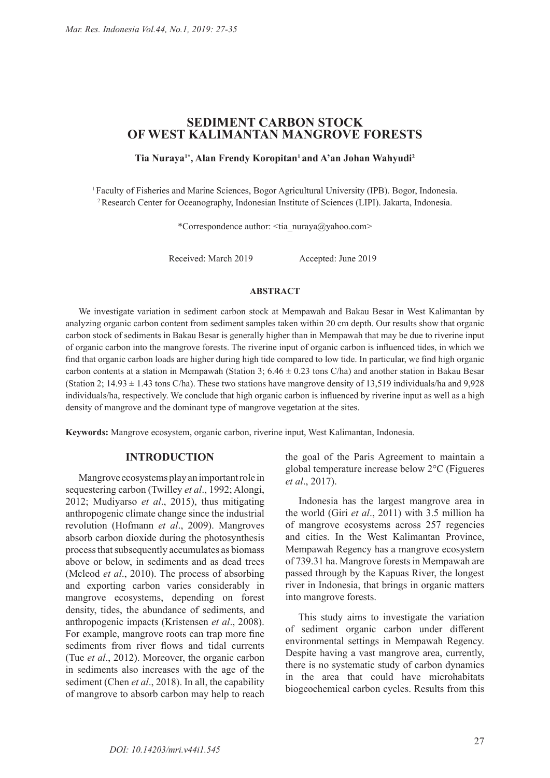# **SEDIMENT CARBON STOCK OF WEST KALIMANTAN MANGROVE FORESTS**

#### **Tia Nuraya1\*, Alan Frendy Koropitan1 and A'an Johan Wahyudi2**

1 Faculty of Fisheries and Marine Sciences, Bogor Agricultural University (IPB). Bogor, Indonesia. 2 Research Center for Oceanography, Indonesian Institute of Sciences (LIPI). Jakarta, Indonesia.

\*Correspondence author: <tia\_nuraya@yahoo.com>

Received: March 2019 Accepted: June 2019

## **ABSTRACT**

We investigate variation in sediment carbon stock at Mempawah and Bakau Besar in West Kalimantan by analyzing organic carbon content from sediment samples taken within 20 cm depth. Our results show that organic carbon stock of sediments in Bakau Besar is generally higher than in Mempawah that may be due to riverine input of organic carbon into the mangrove forests. The riverine input of organic carbon is influenced tides, in which we find that organic carbon loads are higher during high tide compared to low tide. In particular, we find high organic carbon contents at a station in Mempawah (Station 3;  $6.46 \pm 0.23$  tons C/ha) and another station in Bakau Besar (Station 2; 14.93  $\pm$  1.43 tons C/ha). These two stations have mangrove density of 13.519 individuals/ha and 9.928 individuals/ha, respectively. We conclude that high organic carbon is influenced by riverine input as well as a high density of mangrove and the dominant type of mangrove vegetation at the sites.

**Keywords:** Mangrove ecosystem, organic carbon, riverine input, West Kalimantan, Indonesia.

# **INTRODUCTION**

Mangrove ecosystems play an important role in sequestering carbon (Twilley *et al*., 1992; Alongi, 2012; Mudiyarso *et al*., 2015), thus mitigating anthropogenic climate change since the industrial revolution (Hofmann *et al*., 2009). Mangroves absorb carbon dioxide during the photosynthesis process that subsequently accumulates as biomass above or below, in sediments and as dead trees (Mcleod *et al*., 2010). The process of absorbing and exporting carbon varies considerably in mangrove ecosystems, depending on forest density, tides, the abundance of sediments, and anthropogenic impacts (Kristensen *et al*., 2008). For example, mangrove roots can trap more fine sediments from river flows and tidal currents (Tue *et al*., 2012). Moreover, the organic carbon in sediments also increases with the age of the sediment (Chen *et al*., 2018). In all, the capability of mangrove to absorb carbon may help to reach

the goal of the Paris Agreement to maintain a global temperature increase below 2°C (Figueres *et al*., 2017).

Indonesia has the largest mangrove area in the world (Giri *et al*., 2011) with 3.5 million ha of mangrove ecosystems across 257 regencies and cities. In the West Kalimantan Province, Mempawah Regency has a mangrove ecosystem of 739.31 ha. Mangrove forests in Mempawah are passed through by the Kapuas River, the longest river in Indonesia, that brings in organic matters into mangrove forests.

This study aims to investigate the variation of sediment organic carbon under different environmental settings in Mempawah Regency. Despite having a vast mangrove area, currently, there is no systematic study of carbon dynamics in the area that could have microhabitats biogeochemical carbon cycles. Results from this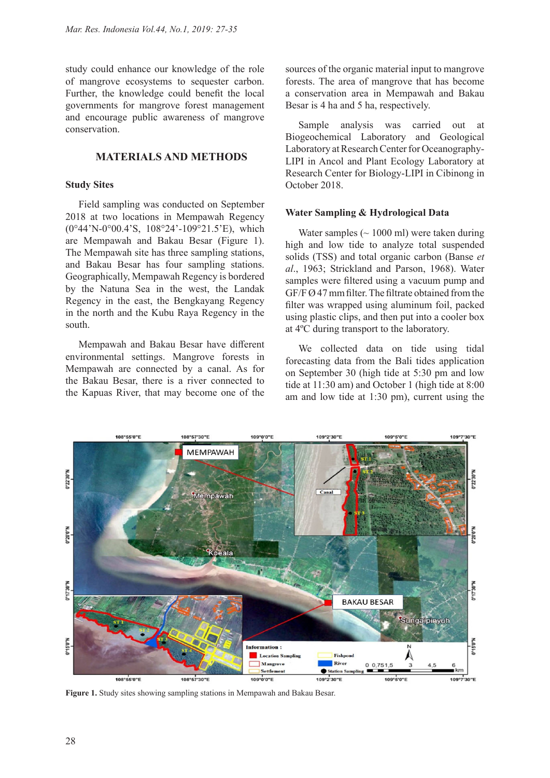study could enhance our knowledge of the role of mangrove ecosystems to sequester carbon. Further, the knowledge could benefit the local governments for mangrove forest management and encourage public awareness of mangrove conservation.

# **MATERIALS AND METHODS**

# **Study Sites**

Field sampling was conducted on September 2018 at two locations in Mempawah Regency (0°44'N-0°00.4'S, 108°24'-109°21.5'E), which are Mempawah and Bakau Besar (Figure 1). The Mempawah site has three sampling stations, and Bakau Besar has four sampling stations. Geographically, Mempawah Regency is bordered by the Natuna Sea in the west, the Landak Regency in the east, the Bengkayang Regency in the north and the Kubu Raya Regency in the south.

Mempawah and Bakau Besar have different environmental settings. Mangrove forests in Mempawah are connected by a canal. As for the Bakau Besar, there is a river connected to the Kapuas River, that may become one of the sources of the organic material input to mangrove forests. The area of mangrove that has become a conservation area in Mempawah and Bakau Besar is 4 ha and 5 ha, respectively.

Sample analysis was carried out at Biogeochemical Laboratory and Geological Laboratory at Research Center for Oceanography-LIPI in Ancol and Plant Ecology Laboratory at Research Center for Biology-LIPI in Cibinong in October 2018.

# **Water Sampling & Hydrological Data**

Water samples  $($   $\sim$  1000 ml) were taken during high and low tide to analyze total suspended solids (TSS) and total organic carbon (Banse *et al*., 1963; Strickland and Parson, 1968). Water samples were filtered using a vacuum pump and GF/F Ø 47 mm filter. The filtrate obtained from the filter was wrapped using aluminum foil, packed using plastic clips, and then put into a cooler box at 4ºC during transport to the laboratory.

We collected data on tide using tidal forecasting data from the Bali tides application on September 30 (high tide at 5:30 pm and low tide at 11:30 am) and October 1 (high tide at 8:00 am and low tide at 1:30 pm), current using the



**Figure 1.** Study sites showing sampling stations in Mempawah and Bakau Besar.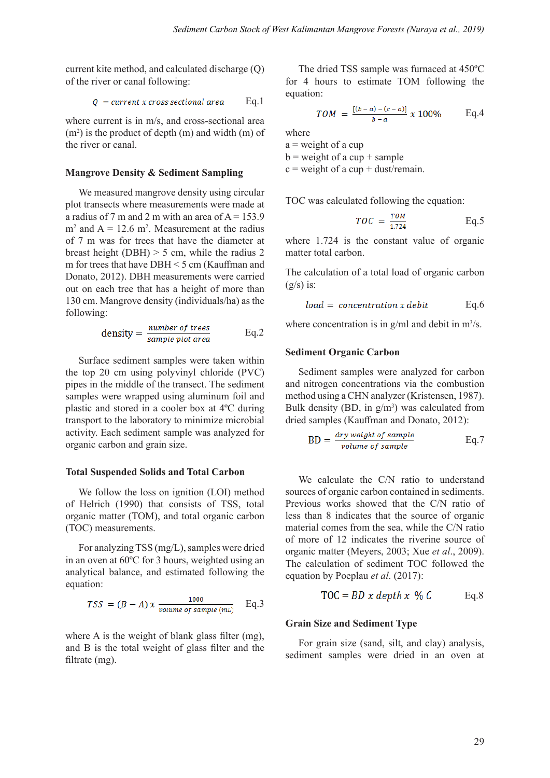current kite method, and calculated discharge (Q) of the river or canal following:

$$
Q = current x cross sectional area
$$
 Eq.1

where current is in m/s, and cross-sectional area  $(m<sup>2</sup>)$  is the product of depth  $(m)$  and width  $(m)$  of the river or canal.

#### **Mangrove Density & Sediment Sampling**

We measured mangrove density using circular plot transects where measurements were made at a radius of 7 m and 2 m with an area of  $A = 153.9$  $m<sup>2</sup>$  and A = 12.6 m<sup>2</sup>. Measurement at the radius of 7 m was for trees that have the diameter at breast height (DBH)  $> 5$  cm, while the radius 2 m for trees that have DBH < 5 cm (Kauffman and Donato, 2012). DBH measurements were carried out on each tree that has a height of more than 130 cm. Mangrove density (individuals/ha) as the following:

$$
density = \frac{number\ of\ trees}{sample\ plot\ area} \qquad \qquad Eq.2
$$

Surface sediment samples were taken within the top 20 cm using polyvinyl chloride (PVC) pipes in the middle of the transect. The sediment samples were wrapped using aluminum foil and plastic and stored in a cooler box at 4ºC during transport to the laboratory to minimize microbial activity. Each sediment sample was analyzed for organic carbon and grain size.

#### **Total Suspended Solids and Total Carbon**

We follow the loss on ignition (LOI) method of Helrich (1990) that consists of TSS, total organic matter (TOM), and total organic carbon (TOC) measurements.

For analyzing TSS (mg/L), samples were dried in an oven at 60ºC for 3 hours, weighted using an analytical balance, and estimated following the equation:

$$
TSS = (B - A) x \frac{1000}{volume \ of \ sample (\mu L)} \qquad Eq.3
$$

where A is the weight of blank glass filter (mg), and B is the total weight of glass filter and the filtrate (mg).

The dried TSS sample was furnaced at 450ºC for 4 hours to estimate TOM following the equation:

$$
TOM = \frac{[(b-a)-(c-a)]}{b-a} \times 100\% \qquad \text{Eq.4}
$$

where

 $a$  = weight of a cup

 $b = weight of a cup + sample$ 

 $c =$  weight of a cup + dust/remain.

TOC was calculated following the equation:

$$
TOC = \frac{TOM}{1.724} \qquad \qquad Eq.5
$$

where 1.724 is the constant value of organic matter total carbon.

The calculation of a total load of organic carbon  $(g/s)$  is:

$$
load = concentration x \, debit \qquad \qquad Eq. 6
$$

where concentration is in  $g/ml$  and debit in  $m^3/s$ .

#### **Sediment Organic Carbon**

Sediment samples were analyzed for carbon and nitrogen concentrations via the combustion method using a CHN analyzer (Kristensen, 1987). Bulk density (BD, in  $g/m<sup>3</sup>$ ) was calculated from dried samples (Kauffman and Donato, 2012):

$$
BD = \frac{dry\ weight\ of\ sample}{volume\ of\ sample}
$$
 Eq.7

We calculate the C/N ratio to understand sources of organic carbon contained in sediments. Previous works showed that the C/N ratio of less than 8 indicates that the source of organic material comes from the sea, while the C/N ratio of more of 12 indicates the riverine source of organic matter (Meyers, 2003; Xue *et al*., 2009). The calculation of sediment TOC followed the equation by Poeplau *et al*. (2017):

$$
TOC = BD \times depth \times \% C
$$
 Eq.8

## **Grain Size and Sediment Type**

For grain size (sand, silt, and clay) analysis, sediment samples were dried in an oven at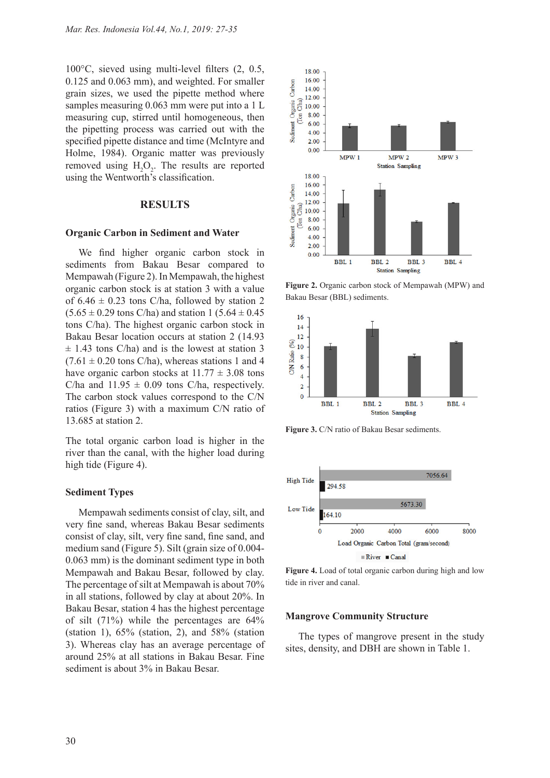100°C, sieved using multi-level filters (2, 0.5, 0.125 and 0.063 mm), and weighted. For smaller grain sizes, we used the pipette method where samples measuring 0.063 mm were put into a 1 L measuring cup, stirred until homogeneous, then the pipetting process was carried out with the specified pipette distance and time (McIntyre and Holme, 1984). Organic matter was previously removed using  $H_2O_2$ . The results are reported using the Wentworth's classification.

#### **RESULTS**

#### **Organic Carbon in Sediment and Water**

We find higher organic carbon stock in sediments from Bakau Besar compared to Mempawah (Figure 2). In Mempawah, the highest organic carbon stock is at station 3 with a value of  $6.46 \pm 0.23$  tons C/ha, followed by station 2  $(5.65 \pm 0.29 \text{ tons C/ha})$  and station 1  $(5.64 \pm 0.45$ tons C/ha). The highest organic carbon stock in Bakau Besar location occurs at station 2 (14.93  $\pm$  1.43 tons C/ha) and is the lowest at station 3  $(7.61 \pm 0.20$  tons C/ha), whereas stations 1 and 4 have organic carbon stocks at  $11.77 \pm 3.08$  tons C/ha and  $11.95 \pm 0.09$  tons C/ha, respectively. The carbon stock values correspond to the C/N ratios (Figure 3) with a maximum C/N ratio of 13.685 at station 2.

The total organic carbon load is higher in the river than the canal, with the higher load during high tide (Figure 4).

#### **Sediment Types**

Mempawah sediments consist of clay, silt, and very fine sand, whereas Bakau Besar sediments consist of clay, silt, very fine sand, fine sand, and medium sand (Figure 5). Silt (grain size of 0.004- 0.063 mm) is the dominant sediment type in both Mempawah and Bakau Besar, followed by clay. The percentage of silt at Mempawah is about 70% in all stations, followed by clay at about 20%. In Bakau Besar, station 4 has the highest percentage of silt (71%) while the percentages are 64% (station 1),  $65\%$  (station, 2), and  $58\%$  (station 3). Whereas clay has an average percentage of around 25% at all stations in Bakau Besar. Fine sediment is about 3% in Bakau Besar.



**Figure 2.** Organic carbon stock of Mempawah (MPW) and Bakau Besar (BBL) sediments.



**Figure 3.** C/N ratio of Bakau Besar sediments.



**Figure 4.** Load of total organic carbon during high and low tide in river and canal.

#### **Mangrove Community Structure**

The types of mangrove present in the study sites, density, and DBH are shown in Table 1.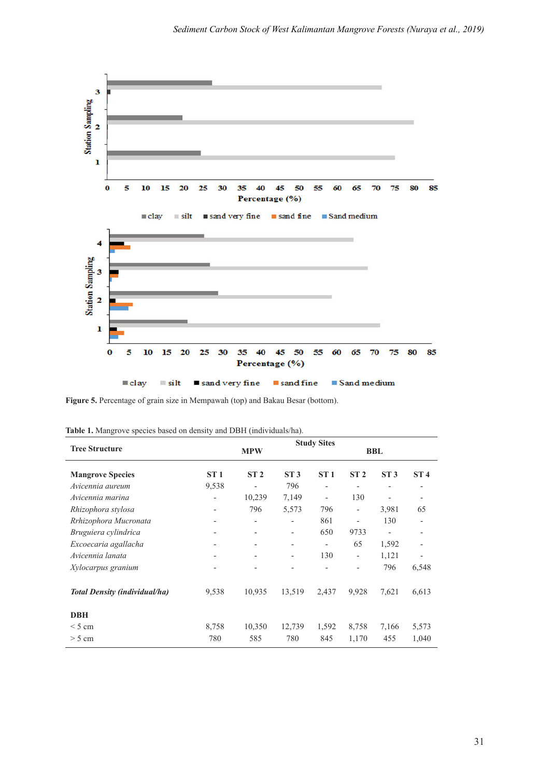

**Figure 5.** Percentage of grain size in Mempawah (top) and Bakau Besar (bottom).

|                               | <b>Study Sites</b>           |                              |                          |                          |                          |                          |                          |
|-------------------------------|------------------------------|------------------------------|--------------------------|--------------------------|--------------------------|--------------------------|--------------------------|
| <b>Tree Structure</b>         | <b>MPW</b>                   |                              |                          | <b>BBL</b>               |                          |                          |                          |
| <b>Mangrove Species</b>       | ST1                          | ST <sub>2</sub>              | ST3                      | ST1                      | ST <sub>2</sub>          | ST3                      | ST <sub>4</sub>          |
| Avicennia aureum              | 9,538                        | $\overline{\phantom{a}}$     | 796                      | $\overline{\phantom{a}}$ |                          |                          | ٠                        |
| Avicennia marina              |                              | 10,239                       | 7,149                    | $\overline{\phantom{a}}$ | 130                      | $\overline{\phantom{0}}$ | $\overline{\phantom{a}}$ |
| Rhizophora stylosa            | $\qquad \qquad \blacksquare$ | 796                          | 5,573                    | 796                      | $\overline{\phantom{0}}$ | 3,981                    | 65                       |
| Rrhizophora Mucronata         |                              | $\qquad \qquad \blacksquare$ |                          | 861                      |                          | 130                      | $\qquad \qquad$          |
| Bruguiera cylindrica          |                              | $\qquad \qquad \blacksquare$ | $\overline{\phantom{a}}$ | 650                      | 9733                     | $\overline{a}$           |                          |
| Excoecaria agallacha          |                              | $\qquad \qquad \blacksquare$ | $\overline{\phantom{a}}$ | $\overline{\phantom{a}}$ | 65                       | 1,592                    |                          |
| Avicennia lanata              |                              |                              | $\overline{\phantom{a}}$ | 130                      | $\overline{\phantom{a}}$ | 1,121                    |                          |
| Xylocarpus granium            |                              |                              |                          |                          |                          | 796                      | 6,548                    |
| Total Density (individual/ha) | 9,538                        | 10,935                       | 13,519                   | 2.437                    | 9,928                    | 7,621                    | 6,613                    |
| <b>DBH</b>                    |                              |                              |                          |                          |                          |                          |                          |
| $< 5 \text{ cm}$              | 8,758                        | 10,350                       | 12,739                   | 1,592                    | 8,758                    | 7,166                    | 5,573                    |
| $> 5$ cm                      | 780                          | 585                          | 780                      | 845                      | 1,170                    | 455                      | 1,040                    |

**Table 1.** Mangrove species based on density and DBH (individuals/ha).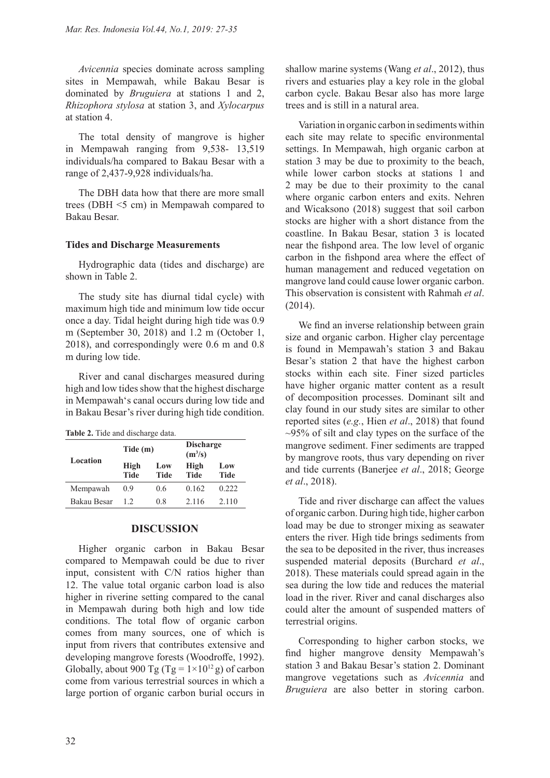*Avicennia* species dominate across sampling sites in Mempawah, while Bakau Besar is dominated by *Bruguiera* at stations 1 and 2, *Rhizophora stylosa* at station 3, and *Xylocarpus* at station 4.

The total density of mangrove is higher in Mempawah ranging from 9,538- 13,519 individuals/ha compared to Bakau Besar with a range of 2,437-9,928 individuals/ha.

The DBH data how that there are more small trees (DBH <5 cm) in Mempawah compared to Bakau Besar.

## **Tides and Discharge Measurements**

Hydrographic data (tides and discharge) are shown in Table 2.

The study site has diurnal tidal cycle) with maximum high tide and minimum low tide occur once a day. Tidal height during high tide was 0.9 m (September 30, 2018) and 1.2 m (October 1, 2018), and correspondingly were 0.6 m and 0.8 m during low tide.

River and canal discharges measured during high and low tides show that the highest discharge in Mempawah's canal occurs during low tide and in Bakau Besar's river during high tide condition.

**Table 2.** Tide and discharge data.

| Location    | Tide (m)            |                    | $(m^3/s)$           | <b>Discharge</b>   |  |  |
|-------------|---------------------|--------------------|---------------------|--------------------|--|--|
|             | High<br><b>Tide</b> | Low<br><b>Tide</b> | High<br><b>Tide</b> | Low<br><b>Tide</b> |  |  |
| Mempawah    | 0.9                 | 0.6                | 0.162               | 0.222              |  |  |
| Bakau Besar | 12                  | 0.8                | 2.116               | 2.110              |  |  |

#### **DISCUSSION**

Higher organic carbon in Bakau Besar compared to Mempawah could be due to river input, consistent with C/N ratios higher than 12. The value total organic carbon load is also higher in riverine setting compared to the canal in Mempawah during both high and low tide conditions. The total flow of organic carbon comes from many sources, one of which is input from rivers that contributes extensive and developing mangrove forests (Woodroffe, 1992). Globally, about 900 Tg (Tg =  $1 \times 10^{12}$  g) of carbon come from various terrestrial sources in which a large portion of organic carbon burial occurs in shallow marine systems (Wang *et al*., 2012), thus rivers and estuaries play a key role in the global carbon cycle. Bakau Besar also has more large trees and is still in a natural area.

Variation in organic carbon in sediments within each site may relate to specific environmental settings. In Mempawah, high organic carbon at station 3 may be due to proximity to the beach, while lower carbon stocks at stations 1 and 2 may be due to their proximity to the canal where organic carbon enters and exits. Nehren and Wicaksono (2018) suggest that soil carbon stocks are higher with a short distance from the coastline. In Bakau Besar, station 3 is located near the fishpond area. The low level of organic carbon in the fishpond area where the effect of human management and reduced vegetation on mangrove land could cause lower organic carbon. This observation is consistent with Rahmah *et al*. (2014).

We find an inverse relationship between grain size and organic carbon. Higher clay percentage is found in Mempawah's station 3 and Bakau Besar's station 2 that have the highest carbon stocks within each site. Finer sized particles have higher organic matter content as a result of decomposition processes. Dominant silt and clay found in our study sites are similar to other reported sites (*e.g.*, Hien *et al*., 2018) that found  $\sim$ 95% of silt and clay types on the surface of the mangrove sediment. Finer sediments are trapped by mangrove roots, thus vary depending on river and tide currents (Banerjee *et al*., 2018; George *et al*., 2018).

Tide and river discharge can affect the values of organic carbon. During high tide, higher carbon load may be due to stronger mixing as seawater enters the river. High tide brings sediments from the sea to be deposited in the river, thus increases suspended material deposits (Burchard *et al*., 2018). These materials could spread again in the sea during the low tide and reduces the material load in the river. River and canal discharges also could alter the amount of suspended matters of terrestrial origins.

Corresponding to higher carbon stocks, we find higher mangrove density Mempawah's station 3 and Bakau Besar's station 2. Dominant mangrove vegetations such as *Avicennia* and *Bruguiera* are also better in storing carbon.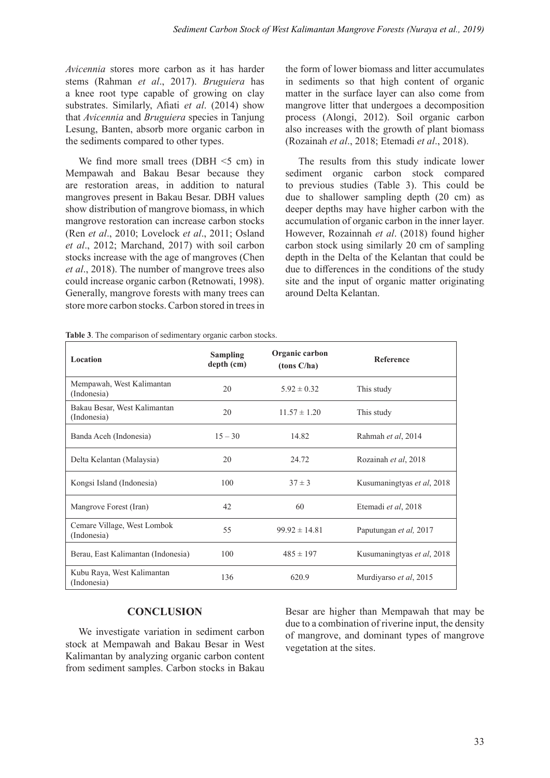*Avicennia* stores more carbon as it has harder stems (Rahman *et al*., 2017). *Bruguiera* has a knee root type capable of growing on clay substrates. Similarly, Afiati *et al*. (2014) show that *Avicennia* and *Bruguiera* species in Tanjung Lesung, Banten, absorb more organic carbon in the sediments compared to other types.

We find more small trees (DBH  $\leq$ 5 cm) in Mempawah and Bakau Besar because they are restoration areas, in addition to natural mangroves present in Bakau Besar. DBH values show distribution of mangrove biomass, in which mangrove restoration can increase carbon stocks (Ren *et al*., 2010; Lovelock *et al*., 2011; Osland *et al*., 2012; Marchand, 2017) with soil carbon stocks increase with the age of mangroves (Chen *et al*., 2018). The number of mangrove trees also could increase organic carbon (Retnowati, 1998). Generally, mangrove forests with many trees can store more carbon stocks. Carbon stored in trees in

the form of lower biomass and litter accumulates in sediments so that high content of organic matter in the surface layer can also come from mangrove litter that undergoes a decomposition process (Alongi, 2012). Soil organic carbon also increases with the growth of plant biomass (Rozainah *et al*., 2018; Etemadi *et al*., 2018).

The results from this study indicate lower sediment organic carbon stock compared to previous studies (Table 3). This could be due to shallower sampling depth (20 cm) as deeper depths may have higher carbon with the accumulation of organic carbon in the inner layer. However, Rozainnah *et al*. (2018) found higher carbon stock using similarly 20 cm of sampling depth in the Delta of the Kelantan that could be due to differences in the conditions of the study site and the input of organic matter originating around Delta Kelantan.

| <b>Location</b>                             | <b>Sampling</b><br>depth (cm) | Organic carbon<br>(tons C/ha) | <b>Reference</b>           |
|---------------------------------------------|-------------------------------|-------------------------------|----------------------------|
| Mempawah, West Kalimantan<br>(Indonesia)    | 20                            | $5.92 \pm 0.32$               | This study                 |
| Bakau Besar, West Kalimantan<br>(Indonesia) | 20                            | $11.57 \pm 1.20$              | This study                 |
| Banda Aceh (Indonesia)                      | $15 - 30$                     | 14.82                         | Rahmah et al, 2014         |
| Delta Kelantan (Malaysia)                   | 20                            | 24.72                         | Rozainah et al, 2018       |
| Kongsi Island (Indonesia)                   | 100                           | $37 \pm 3$                    | Kusumaningtyas et al, 2018 |
| Mangrove Forest (Iran)                      | 42                            | 60                            | Etemadi et al, 2018        |
| Cemare Village, West Lombok<br>(Indonesia)  | 55                            | $99.92 \pm 14.81$             | Paputungan et al, 2017     |
| Berau, East Kalimantan (Indonesia)          | 100                           | $485 \pm 197$                 | Kusumaningtyas et al, 2018 |
| Kubu Raya, West Kalimantan<br>(Indonesia)   | 136                           | 620.9                         | Murdiyarso et al, 2015     |

**Table 3**. The comparison of sedimentary organic carbon stocks.

# **CONCLUSION**

We investigate variation in sediment carbon stock at Mempawah and Bakau Besar in West Kalimantan by analyzing organic carbon content from sediment samples. Carbon stocks in Bakau Besar are higher than Mempawah that may be due to a combination of riverine input, the density of mangrove, and dominant types of mangrove vegetation at the sites.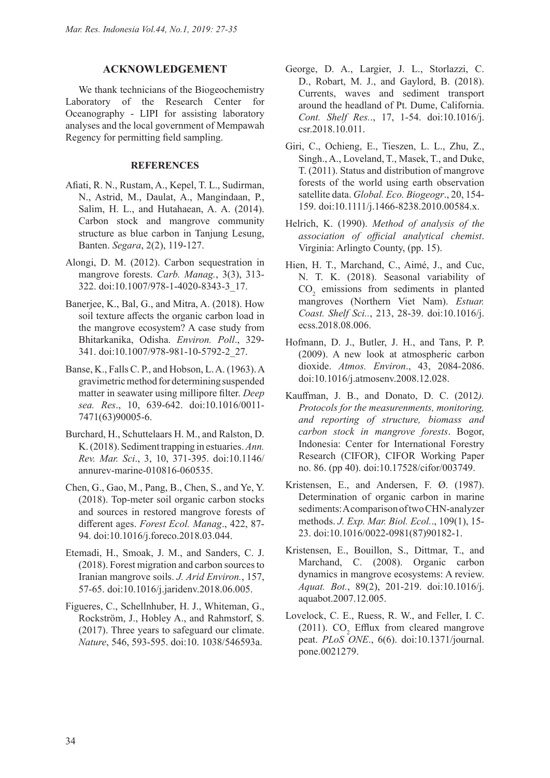# **ACKNOWLEDGEMENT**

We thank technicians of the Biogeochemistry Laboratory of the Research Center for Oceanography - LIPI for assisting laboratory analyses and the local government of Mempawah Regency for permitting field sampling.

## **REFERENCES**

- Afiati, R. N., Rustam, A., Kepel, T. L., Sudirman, N., Astrid, M., Daulat, A., Mangindaan, P., Salim, H. L., and Hutahaean, A. A. (2014). Carbon stock and mangrove community structure as blue carbon in Tanjung Lesung, Banten. *Segara*, 2(2), 119-127.
- Alongi, D. M. (2012). Carbon sequestration in mangrove forests. *Carb. Manag.*, 3(3), 313- 322. doi:10.1007/978-1-4020-8343-3\_17.
- Banerjee, K., Bal, G., and Mitra, A. (2018). How soil texture affects the organic carbon load in the mangrove ecosystem? A case study from Bhitarkanika, Odisha. *Environ. Poll*., 329- 341. doi:10.1007/978-981-10-5792-2\_27.
- Banse, K., Falls C. P., and Hobson, L. A. (1963). A gravimetric method for determining suspended matter in seawater using millipore filter. *Deep sea. Res*., 10, 639-642. doi:10.1016/0011- 7471(63)90005-6.
- Burchard, H., Schuttelaars H. M., and Ralston, D. K. (2018). Sediment trapping in estuaries. *Ann. Rev. Mar. Sci*., 3, 10, 371-395. doi:10.1146/ annurev-marine-010816-060535.
- Chen, G., Gao, M., Pang, B., Chen, S., and Ye, Y. (2018). Top-meter soil organic carbon stocks and sources in restored mangrove forests of different ages. *Forest Ecol. Manag*., 422, 87- 94. doi:10.1016/j.foreco.2018.03.044.
- Etemadi, H., Smoak, J. M., and Sanders, C. J. (2018). Forest migration and carbon sources to Iranian mangrove soils. *J. Arid Environ.*, 157, 57-65. doi:10.1016/j.jaridenv.2018.06.005.
- Figueres, C., Schellnhuber, H. J., Whiteman, G., Rockström, J., Hobley A., and Rahmstorf, S. (2017). Three years to safeguard our climate. *Nature*, 546, 593-595. doi:10. 1038/546593a.
- George, D. A., Largier, J. L., Storlazzi, C. D., Robart, M. J., and Gaylord, B. (2018). Currents, waves and sediment transport around the headland of Pt. Dume, California. *Cont. Shelf Res.*., 17, 1-54. doi:10.1016/j. csr.2018.10.011.
- Giri, C., Ochieng, E., Tieszen, L. L., Zhu, Z., Singh., A., Loveland, T., Masek, T., and Duke, T. (2011). Status and distribution of mangrove forests of the world using earth observation satellite data. *Global. Eco. Biogeogr*., 20, 154- 159. doi:10.1111/j.1466-8238.2010.00584.x.
- Helrich, K. (1990). *Method of analysis of the association of official analytical chemist*. Virginia: Arlingto County, (pp. 15).
- Hien, H. T., Marchand, C., Aimé, J., and Cuc, N. T. K. (2018). Seasonal variability of  $CO<sub>2</sub>$  emissions from sediments in planted mangroves (Northern Viet Nam). *Estuar. Coast. Shelf Sci..*, 213, 28-39. doi:10.1016/j. ecss.2018.08.006.
- Hofmann, D. J., Butler, J. H., and Tans, P. P. (2009). A new look at atmospheric carbon dioxide. *Atmos. Environ*., 43, 2084-2086. doi:10.1016/j.atmosenv.2008.12.028.
- Kauffman, J. B., and Donato, D. C. (2012*). Protocols for the measurenments, monitoring, and reporting of structure, biomass and carbon stock in mangrove forests*. Bogor, Indonesia: Center for International Forestry Research (CIFOR), CIFOR Working Paper no. 86. (pp 40). doi:10.17528/cifor/003749.
- Kristensen, E., and Andersen, F. Ø. (1987). Determination of organic carbon in marine sediments: A comparison of two CHN-analyzer methods. *J. Exp. Mar. Biol. Ecol.*., 109(1), 15- 23. doi:10.1016/0022-0981(87)90182-1.
- Kristensen, E., Bouillon, S., Dittmar, T., and Marchand, C. (2008). Organic carbon dynamics in mangrove ecosystems: A review. *Aquat. Bot.*, 89(2), 201-219. doi:10.1016/j. aquabot.2007.12.005.
- Lovelock, C. E., Ruess, R. W., and Feller, I. C. (2011).  $CO<sub>2</sub>$  Efflux from cleared mangrove peat. *PLoS ONE*., 6(6). doi:10.1371/journal. pone.0021279.